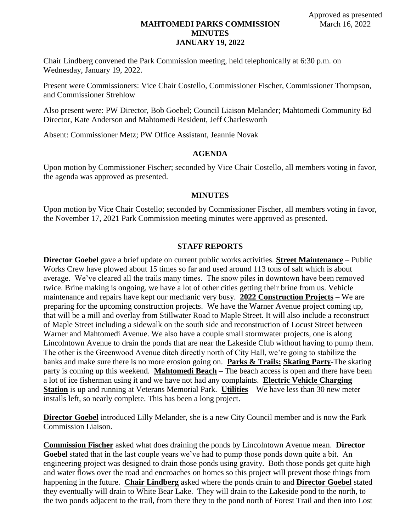# **MAHTOMEDI PARKS COMMISSION MINUTES JANUARY 19, 2022**

Chair Lindberg convened the Park Commission meeting, held telephonically at 6:30 p.m. on Wednesday, January 19, 2022.

Present were Commissioners: Vice Chair Costello, Commissioner Fischer, Commissioner Thompson, and Commissioner Strehlow

Also present were: PW Director, Bob Goebel; Council Liaison Melander; Mahtomedi Community Ed Director, Kate Anderson and Mahtomedi Resident, Jeff Charlesworth

Absent: Commissioner Metz; PW Office Assistant, Jeannie Novak

## **AGENDA**

Upon motion by Commissioner Fischer; seconded by Vice Chair Costello, all members voting in favor, the agenda was approved as presented.

## **MINUTES**

Upon motion by Vice Chair Costello; seconded by Commissioner Fischer, all members voting in favor, the November 17, 2021 Park Commission meeting minutes were approved as presented.

### **STAFF REPORTS**

**Director Goebel** gave a brief update on current public works activities. **Street Maintenance** – Public Works Crew have plowed about 15 times so far and used around 113 tons of salt which is about average. We've cleared all the trails many times. The snow piles in downtown have been removed twice. Brine making is ongoing, we have a lot of other cities getting their brine from us. Vehicle maintenance and repairs have kept our mechanic very busy. **2022 Construction Projects** – We are preparing for the upcoming construction projects. We have the Warner Avenue project coming up, that will be a mill and overlay from Stillwater Road to Maple Street. It will also include a reconstruct of Maple Street including a sidewalk on the south side and reconstruction of Locust Street between Warner and Mahtomedi Avenue. We also have a couple small stormwater projects, one is along Lincolntown Avenue to drain the ponds that are near the Lakeside Club without having to pump them. The other is the Greenwood Avenue ditch directly north of City Hall, we're going to stabilize the banks and make sure there is no more erosion going on. **Parks & Trails: Skating Party**-The skating party is coming up this weekend. **Mahtomedi Beach** – The beach access is open and there have been a lot of ice fisherman using it and we have not had any complaints. **Electric Vehicle Charging Station** is up and running at Veterans Memorial Park. **Utilities** – We have less than 30 new meter installs left, so nearly complete. This has been a long project.

**Director Goebel** introduced Lilly Melander, she is a new City Council member and is now the Park Commission Liaison.

**Commission Fischer** asked what does draining the ponds by Lincolntown Avenue mean. **Director Goebel** stated that in the last couple years we've had to pump those ponds down quite a bit. An engineering project was designed to drain those ponds using gravity. Both those ponds get quite high and water flows over the road and encroaches on homes so this project will prevent those things from happening in the future. **Chair Lindberg** asked where the ponds drain to and **Director Goebel** stated they eventually will drain to White Bear Lake. They will drain to the Lakeside pond to the north, to the two ponds adjacent to the trail, from there they to the pond north of Forest Trail and then into Lost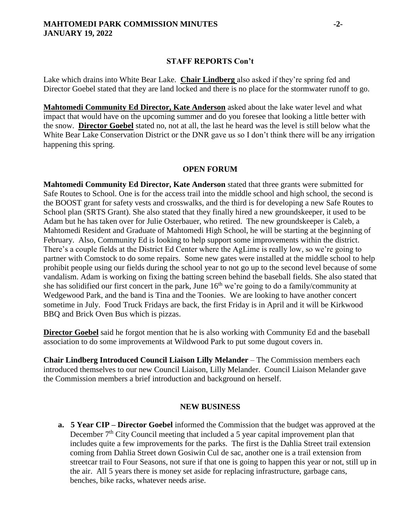## **STAFF REPORTS Con't**

Lake which drains into White Bear Lake. **Chair Lindberg** also asked if they're spring fed and Director Goebel stated that they are land locked and there is no place for the stormwater runoff to go.

**Mahtomedi Community Ed Director, Kate Anderson** asked about the lake water level and what impact that would have on the upcoming summer and do you foresee that looking a little better with the snow. **Director Goebel** stated no, not at all, the last he heard was the level is still below what the White Bear Lake Conservation District or the DNR gave us so I don't think there will be any irrigation happening this spring.

# **OPEN FORUM**

**Mahtomedi Community Ed Director, Kate Anderson** stated that three grants were submitted for Safe Routes to School. One is for the access trail into the middle school and high school, the second is the BOOST grant for safety vests and crosswalks, and the third is for developing a new Safe Routes to School plan (SRTS Grant). She also stated that they finally hired a new groundskeeper, it used to be Adam but he has taken over for Julie Osterbauer, who retired. The new groundskeeper is Caleb, a Mahtomedi Resident and Graduate of Mahtomedi High School, he will be starting at the beginning of February. Also, Community Ed is looking to help support some improvements within the district. There's a couple fields at the District Ed Center where the AgLime is really low, so we're going to partner with Comstock to do some repairs. Some new gates were installed at the middle school to help prohibit people using our fields during the school year to not go up to the second level because of some vandalism. Adam is working on fixing the batting screen behind the baseball fields. She also stated that she has solidified our first concert in the park, June  $16<sup>th</sup>$  we're going to do a family/community at Wedgewood Park, and the band is Tina and the Toonies. We are looking to have another concert sometime in July. Food Truck Fridays are back, the first Friday is in April and it will be Kirkwood BBQ and Brick Oven Bus which is pizzas.

**Director Goebel** said he forgot mention that he is also working with Community Ed and the baseball association to do some improvements at Wildwood Park to put some dugout covers in.

**Chair Lindberg Introduced Council Liaison Lilly Melander** – The Commission members each introduced themselves to our new Council Liaison, Lilly Melander. Council Liaison Melander gave the Commission members a brief introduction and background on herself.

## **NEW BUSINESS**

**a. 5 Year CIP – Director Goebel** informed the Commission that the budget was approved at the December  $7<sup>th</sup>$  City Council meeting that included a 5 year capital improvement plan that includes quite a few improvements for the parks. The first is the Dahlia Street trail extension coming from Dahlia Street down Gosiwin Cul de sac, another one is a trail extension from streetcar trail to Four Seasons, not sure if that one is going to happen this year or not, still up in the air. All 5 years there is money set aside for replacing infrastructure, garbage cans, benches, bike racks, whatever needs arise.